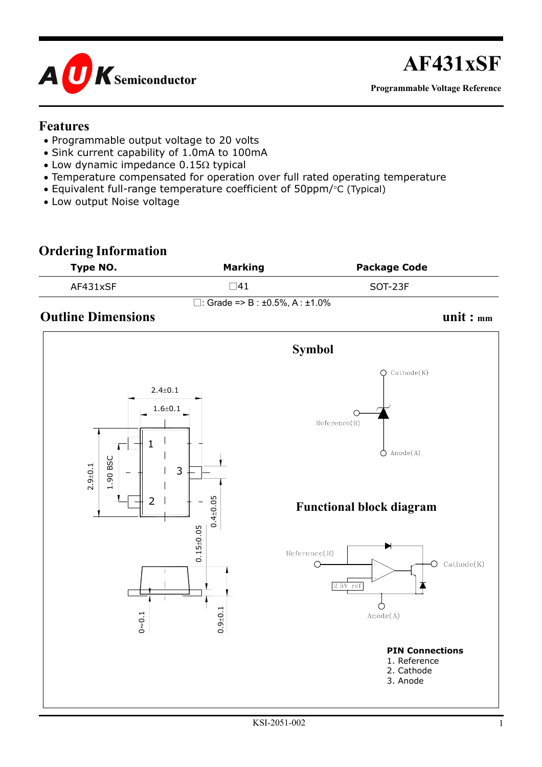

# **AF431xSF**

**Programmable Voltage Reference**

#### **Features**

- Programmable output voltage to 20 volts
- Sink current capability of 1.0mA to 100mA
- Low dynamic impedance  $0.15\Omega$  typical
- Temperature compensated for operation over full rated operating temperature
- Equivalent full-range temperature coefficient of 50ppm/°C (Typical)
- Low output Noise voltage

### **Ordering Information Type NO.** Marking **Package Code**  $AF431xSF$  SOT-23F  $\Box$ : Grade => B : ±0.5%, A : ±1.0% **Outline Dimensions** unit :  $_{mm}$

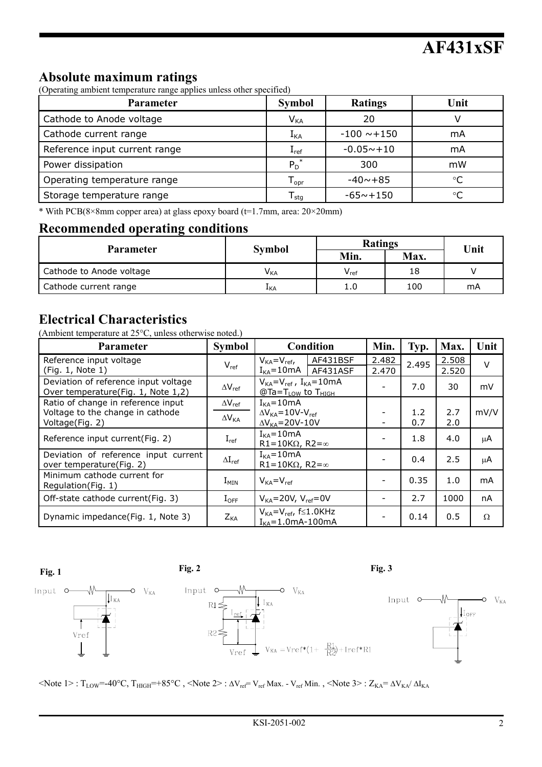#### **Absolute maximum ratings**

(Operating ambient temperature range applies unless other specified)

| <b>Parameter</b>              | <b>Symbol</b>    | <b>Ratings</b>   | Unit |
|-------------------------------|------------------|------------------|------|
| Cathode to Anode voltage      | $V_{KA}$         | 20               |      |
| Cathode current range         | $1_{\text{KA}}$  | $-100 \sim +150$ | mA   |
| Reference input current range | $I_{ref}$        | $-0.05 - +10$    | mA   |
| Power dissipation             | $P_D^*$          | 300              | mW   |
| Operating temperature range   | l <sub>opr</sub> | $-40 - +85$      |      |
| Storage temperature range     | l <sub>sta</sub> | $-65 - +150$     |      |

\* With PCB(8×8mm copper area) at glass epoxy board (t=1.7mm, area: 20×20mm)

#### **Recommended operating conditions**

|                          |                 | <b>Ratings</b>            | Unit |    |  |
|--------------------------|-----------------|---------------------------|------|----|--|
| <b>Parameter</b>         | <b>Symbol</b>   | Min.                      | Max. |    |  |
| Cathode to Anode voltage | V <sub>KA</sub> | $\mathsf{v}_\mathsf{ref}$ | 18   |    |  |
| Cathode current range    | ⊥kA             | 1.0                       | 100  | mA |  |

#### **Electrical Characteristics**

(Ambient temperature at 25°C, unless otherwise noted.)

| <b>Parameter</b>                                                                          | <b>Symbol</b>                       | Condition                                                                         | Min.           | Typ.       | Max.           | Unit     |
|-------------------------------------------------------------------------------------------|-------------------------------------|-----------------------------------------------------------------------------------|----------------|------------|----------------|----------|
| Reference input voltage<br>(Fig. 1, Note 1)                                               | $V_{ref}$                           | AF431BSF<br>$V_{KA} = V_{ref}$<br>$I_{KA} = 10mA$   AF431ASF                      | 2.482<br>2.470 | 2.495      | 2.508<br>2.520 | $\vee$   |
| Deviation of reference input voltage<br>Over temperature(Fig. 1, Note 1,2)                | $\Delta V_{ref}$                    | $V_{KA} = V_{ref}$ , $I_{KA} = 10mA$<br>$@Ta = T_{LOW}$ to $T_{HIGH}$             |                | 7.0        | 30             | mV       |
| Ratio of change in reference input<br>Voltage to the change in cathode<br>Voltage(Fig. 2) | $\Delta V_{ref}$<br>$\Delta V_{KA}$ | $I_{KA} = 10mA$<br>$\Delta V_{KA} = 10V - V_{ref}$<br>$\Delta V_{KA} = 20V - 10V$ |                | 1.2<br>0.7 | 2.7<br>2.0     | mV/V     |
| Reference input current(Fig. 2)                                                           | $I_{ref}$                           | $I_{KA} = 10mA$<br>R1=10K $\Omega$ , R2= $\infty$                                 |                | 1.8        | 4.0            | μA       |
| Deviation of reference input current<br>over temperature (Fig. 2)                         | $\Delta I_{ref}$                    | $I_{KA} = 10mA$<br>R1=10K $\Omega$ , R2= $\infty$                                 |                | 0.4        | 2.5            | μA       |
| Minimum cathode current for<br>Regulation(Fig. 1)                                         | $I_{MIN}$                           | $V_{KA} = V_{ref}$                                                                |                | 0.35       | 1.0            | mA       |
| Off-state cathode current(Fig. 3)                                                         | $I_{OFF}$                           | $V_{KA} = 20V$ , $V_{ref} = 0V$                                                   |                | 2.7        | 1000           | nA       |
| Dynamic impedance(Fig. 1, Note 3)                                                         | $Z_{KA}$                            | $V_{KA} = V_{ref}$ , f $\leq 1.0$ KHz<br>$I_{KA} = 1.0mA-100mA$                   |                | 0.14       | 0.5            | $\Omega$ |



 $\langle \text{Note } 1 \rangle$ : T<sub>LOW</sub>=-40°C, T<sub>HIGH</sub>=+85°C,  $\langle \text{Note } 2 \rangle$ :  $\Delta V_{ref} = V_{ref}$  Max. - V<sub>ref</sub> Min.,  $\langle \text{Note } 3 \rangle$ :  $Z_{KA} = \Delta V_{KA} / \Delta I_{KA}$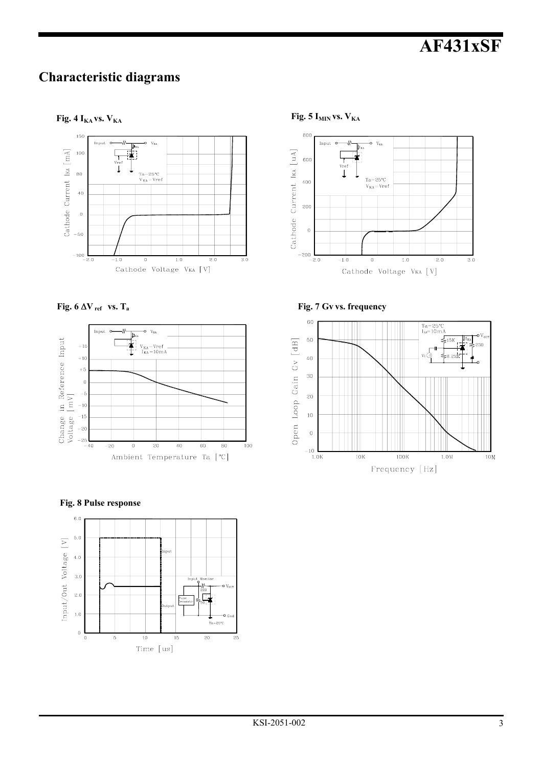## **AF431xSF**

#### **Characteristic diagrams**

**Fig. 4**  $I_{KA}$  **vs.**  $V_{KA}$  Fig. 5  $I_{MIN}$  vs.  $V_{KA}$ 





**Fig. 8 Pulse response**